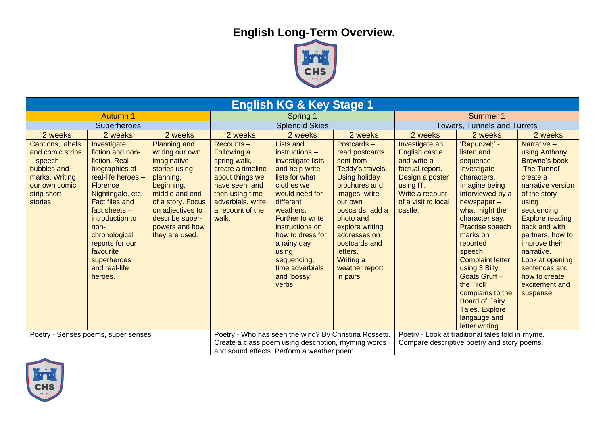## **English Long-Term Overview.**



| <b>Autumn 1</b><br>Summer 1<br><b>Spring 1</b><br><b>Splendid Skies</b><br><b>Towers, Tunnels and Turrets</b><br><b>Superheroes</b><br>2 weeks<br>2 weeks<br>2 weeks<br>2 weeks<br>2 weeks<br>2 weeks<br>2 weeks<br>2 weeks<br>2 weeks<br><b>Planning and</b><br>Postcards-<br>'Rapunzel;' -<br>Narrative -<br>Captions, labels<br>Investigate<br>Recounts-<br>Lists and<br>Investigate an<br>fiction and non-<br><b>Following a</b><br>read postcards<br><b>English castle</b><br>using Anthony<br>and comic strips<br>writing our own<br>$instructions -$<br>listen and<br>fiction. Real<br>sent from<br>and write a<br><b>Browne's book</b><br>- speech<br>imaginative<br>investigate lists<br>spring walk,<br>sequence.<br>bubbles and<br>biographies of<br>and help write<br>Teddy's travels.<br>'The Tunnel'<br>create a timeline<br>factual report.<br>Investigate<br>stories using<br>real-life heroes -<br>lists for what<br><b>Using holiday</b><br>marks. Writing<br>about things we<br>Design a poster<br>characters.<br>planning,<br>create a<br>clothes we<br>brochures and<br>Imagine being<br><b>Florence</b><br>have seen, and<br>using IT.<br>our own comic<br>beginning,<br>Nightingale, etc.<br>middle and end<br>then using time<br>would need for<br>Write a recount<br>interviewed by a<br>strip short<br>images, write<br>of the story<br>adverbials, write<br>of a visit to local<br>stories.<br><b>Fact files and</b><br>of a story. Focus<br>different<br>our own<br>newspaper-<br>using<br>$fact sheets -$<br>on adjectives to<br>a recount of the<br>weathers.<br>poscards, add a<br>castle.<br>what might the<br>sequencing.<br>walk.<br><b>Further to write</b><br>introduction to<br>describe super-<br>photo and<br>character say.<br>powers and how<br>explore writing<br>Practise speech<br>back and with<br>instructions on<br>$non-$<br>chronological<br>how to dress for<br>addresses on<br>marks on<br>they are used.<br>reports for our<br>a rainy day<br>postcards and<br>reported<br>improve their<br>narrative.<br>favourite<br>using<br>letters.<br>speech.<br><b>Complaint letter</b><br>superheroes<br><b>Writing a</b><br>sequencing,<br>and real-life<br>time adverbials<br>using 3 Billy<br>sentences and<br>weather report<br><b>Goats Gruff-</b><br>and 'bossy'<br>heroes.<br>how to create<br>in pairs.<br>verbs.<br>the Troll<br>excitement and<br>complains to the<br>suspense.<br><b>Board of Fairy</b><br><b>Tales. Explore</b><br>langauge and<br>letter writing.<br>Poetry - Who has seen the wind? By Christina Rossetti.<br>Poetry - Look at traditional tales told in rhyme.<br>Poetry - Senses poems, super senses.<br>Create a class poem using description, rhyming words<br>Compare descriptive poetry and story poems.<br>and sound effects. Perform a weather poem. | <b>English KG &amp; Key Stage 1</b> |  |  |  |  |  |  |  |                                                                                    |  |
|----------------------------------------------------------------------------------------------------------------------------------------------------------------------------------------------------------------------------------------------------------------------------------------------------------------------------------------------------------------------------------------------------------------------------------------------------------------------------------------------------------------------------------------------------------------------------------------------------------------------------------------------------------------------------------------------------------------------------------------------------------------------------------------------------------------------------------------------------------------------------------------------------------------------------------------------------------------------------------------------------------------------------------------------------------------------------------------------------------------------------------------------------------------------------------------------------------------------------------------------------------------------------------------------------------------------------------------------------------------------------------------------------------------------------------------------------------------------------------------------------------------------------------------------------------------------------------------------------------------------------------------------------------------------------------------------------------------------------------------------------------------------------------------------------------------------------------------------------------------------------------------------------------------------------------------------------------------------------------------------------------------------------------------------------------------------------------------------------------------------------------------------------------------------------------------------------------------------------------------------------------------------------------------------------------------------------------------------------------------------------------------------------------------------------------------------------------------------------------------------------------------------------------------------------------------------------------------------------------------------------------------------------------------------------------------------------------------------------------------------------------------------------------------------------------------------------------------|-------------------------------------|--|--|--|--|--|--|--|------------------------------------------------------------------------------------|--|
|                                                                                                                                                                                                                                                                                                                                                                                                                                                                                                                                                                                                                                                                                                                                                                                                                                                                                                                                                                                                                                                                                                                                                                                                                                                                                                                                                                                                                                                                                                                                                                                                                                                                                                                                                                                                                                                                                                                                                                                                                                                                                                                                                                                                                                                                                                                                                                                                                                                                                                                                                                                                                                                                                                                                                                                                                                        |                                     |  |  |  |  |  |  |  |                                                                                    |  |
|                                                                                                                                                                                                                                                                                                                                                                                                                                                                                                                                                                                                                                                                                                                                                                                                                                                                                                                                                                                                                                                                                                                                                                                                                                                                                                                                                                                                                                                                                                                                                                                                                                                                                                                                                                                                                                                                                                                                                                                                                                                                                                                                                                                                                                                                                                                                                                                                                                                                                                                                                                                                                                                                                                                                                                                                                                        |                                     |  |  |  |  |  |  |  |                                                                                    |  |
|                                                                                                                                                                                                                                                                                                                                                                                                                                                                                                                                                                                                                                                                                                                                                                                                                                                                                                                                                                                                                                                                                                                                                                                                                                                                                                                                                                                                                                                                                                                                                                                                                                                                                                                                                                                                                                                                                                                                                                                                                                                                                                                                                                                                                                                                                                                                                                                                                                                                                                                                                                                                                                                                                                                                                                                                                                        |                                     |  |  |  |  |  |  |  |                                                                                    |  |
|                                                                                                                                                                                                                                                                                                                                                                                                                                                                                                                                                                                                                                                                                                                                                                                                                                                                                                                                                                                                                                                                                                                                                                                                                                                                                                                                                                                                                                                                                                                                                                                                                                                                                                                                                                                                                                                                                                                                                                                                                                                                                                                                                                                                                                                                                                                                                                                                                                                                                                                                                                                                                                                                                                                                                                                                                                        |                                     |  |  |  |  |  |  |  | narrative version<br><b>Explore reading</b><br>partners, how to<br>Look at opening |  |
|                                                                                                                                                                                                                                                                                                                                                                                                                                                                                                                                                                                                                                                                                                                                                                                                                                                                                                                                                                                                                                                                                                                                                                                                                                                                                                                                                                                                                                                                                                                                                                                                                                                                                                                                                                                                                                                                                                                                                                                                                                                                                                                                                                                                                                                                                                                                                                                                                                                                                                                                                                                                                                                                                                                                                                                                                                        |                                     |  |  |  |  |  |  |  |                                                                                    |  |
|                                                                                                                                                                                                                                                                                                                                                                                                                                                                                                                                                                                                                                                                                                                                                                                                                                                                                                                                                                                                                                                                                                                                                                                                                                                                                                                                                                                                                                                                                                                                                                                                                                                                                                                                                                                                                                                                                                                                                                                                                                                                                                                                                                                                                                                                                                                                                                                                                                                                                                                                                                                                                                                                                                                                                                                                                                        |                                     |  |  |  |  |  |  |  |                                                                                    |  |

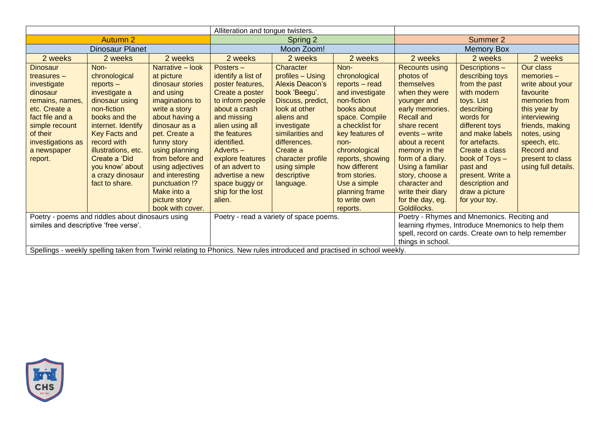|                                                                                                                                                                          |                                                                                                                                                                      |                                                                                                                                                                                                                         | Alliteration and tongue twisters.                                                                                                                                           |                                                                                                                                                                                 |                                                                                                                                                          |                                                                                                                                                                               |                                                                                                                                                                  |                                                                                                                                                                |
|--------------------------------------------------------------------------------------------------------------------------------------------------------------------------|----------------------------------------------------------------------------------------------------------------------------------------------------------------------|-------------------------------------------------------------------------------------------------------------------------------------------------------------------------------------------------------------------------|-----------------------------------------------------------------------------------------------------------------------------------------------------------------------------|---------------------------------------------------------------------------------------------------------------------------------------------------------------------------------|----------------------------------------------------------------------------------------------------------------------------------------------------------|-------------------------------------------------------------------------------------------------------------------------------------------------------------------------------|------------------------------------------------------------------------------------------------------------------------------------------------------------------|----------------------------------------------------------------------------------------------------------------------------------------------------------------|
|                                                                                                                                                                          | <b>Autumn 2</b>                                                                                                                                                      |                                                                                                                                                                                                                         | <b>Spring 2</b>                                                                                                                                                             |                                                                                                                                                                                 |                                                                                                                                                          | <b>Summer 2</b>                                                                                                                                                               |                                                                                                                                                                  |                                                                                                                                                                |
|                                                                                                                                                                          | <b>Dinosaur Planet</b>                                                                                                                                               |                                                                                                                                                                                                                         | Moon Zoom!                                                                                                                                                                  |                                                                                                                                                                                 |                                                                                                                                                          | <b>Memory Box</b>                                                                                                                                                             |                                                                                                                                                                  |                                                                                                                                                                |
| 2 weeks                                                                                                                                                                  | 2 weeks                                                                                                                                                              | 2 weeks                                                                                                                                                                                                                 | 2 weeks                                                                                                                                                                     | 2 weeks                                                                                                                                                                         | 2 weeks                                                                                                                                                  | 2 weeks                                                                                                                                                                       | 2 weeks                                                                                                                                                          | 2 weeks                                                                                                                                                        |
| <b>Dinosaur</b><br>$t$ reasures $-$<br>investigate<br>dinosaur<br>remains, names,<br>etc. Create a<br>fact file and a<br>simple recount<br>of their<br>investigations as | Non-<br>chronological<br>$reports -$<br>investigate a<br>dinosaur using<br>non-fiction<br>books and the<br>internet. Identify<br><b>Key Facts and</b><br>record with | Narrative - look<br>at picture<br>dinosaur stories<br>and using<br>imaginations to<br>write a story<br>about having a<br>dinosaur as a<br>pet. Create a<br>funny story                                                  | Posters-<br>identify a list of<br>poster features,<br>Create a poster<br>to inform people<br>about a crash<br>and missing<br>alien using all<br>the features<br>identified. | Character<br>profiles - Using<br><b>Alexis Deacon's</b><br>book 'Beegu'.<br>Discuss, predict,<br>look at other<br>aliens and<br>investigate<br>similarities and<br>differences. | Non-<br>chronological<br>reports - read<br>and investigate<br>non-fiction<br>books about<br>space. Compile<br>a checklist for<br>key features of<br>non- | <b>Recounts using</b><br>photos of<br>themselves<br>when they were<br>younger and<br>early memories.<br><b>Recall and</b><br>share recent<br>events – write<br>about a recent | Descriptions-<br>describing toys<br>from the past<br>with modern<br>toys. List<br>describing<br>words for<br>different toys<br>and make labels<br>for artefacts. | Our class<br>$memories -$<br>write about your<br>favourite<br>memories from<br>this year by<br>interviewing<br>friends, making<br>notes, using<br>speech, etc. |
| a newspaper<br>report.                                                                                                                                                   | illustrations, etc.<br>Create a 'Did<br>you know' about<br>a crazy dinosaur<br>fact to share.                                                                        | using planning<br>from before and<br>using adjectives<br>and interesting<br>punctuation !?<br>Make into a<br>picture story<br>book with cover.                                                                          | Adverts-<br>explore features<br>of an advert to<br>advertise a new<br>space buggy or<br>ship for the lost<br>alien.                                                         | Create a<br>character profile<br>using simple<br>descriptive<br>language.                                                                                                       | chronological<br>reports, showing<br>how different<br>from stories.<br>Use a simple<br>planning frame<br>to write own<br>reports.                        | memory in the<br>form of a diary.<br>Using a familiar<br>story, choose a<br>character and<br>write their diary<br>for the day, eg.<br>Goldilocks.                             | Create a class<br>book of Toys -<br>past and<br>present. Write a<br>description and<br>draw a picture<br>for your toy.                                           | <b>Record and</b><br>present to class<br>using full details.                                                                                                   |
| Poetry - poems and riddles about dinosaurs using<br>similes and descriptive 'free verse'.                                                                                |                                                                                                                                                                      | Poetry - Rhymes and Mnemonics. Reciting and<br>Poetry - read a variety of space poems.<br>learning rhymes, Introduce Mnemonics to help them<br>spell, record on cards. Create own to help remember<br>things in school. |                                                                                                                                                                             |                                                                                                                                                                                 |                                                                                                                                                          |                                                                                                                                                                               |                                                                                                                                                                  |                                                                                                                                                                |
| Spellings - weekly spelling taken from Twinkl relating to Phonics. New rules introduced and practised in school weekly.                                                  |                                                                                                                                                                      |                                                                                                                                                                                                                         |                                                                                                                                                                             |                                                                                                                                                                                 |                                                                                                                                                          |                                                                                                                                                                               |                                                                                                                                                                  |                                                                                                                                                                |

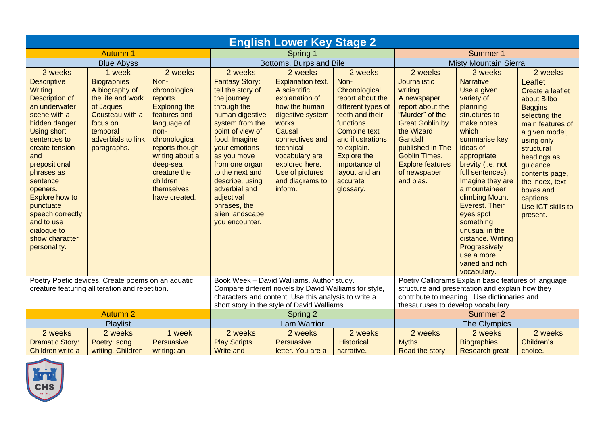| <b>English Lower Key Stage 2</b>                                                                                                                                                                                                                                                                                                                          |                                                                                                                                                        |                                                                                                                                                                                                                              |                                                                                                                                                                                                                                                                                                                                 |                                                                                                                                                                                                                                          |                                                                                                                                                                                                                                              |                                                                                                                                                                                                                                                     |                                                                                                                                                                                                                                                                                                                                                                                                   |                                                                                                                                                                                                                                                                             |  |
|-----------------------------------------------------------------------------------------------------------------------------------------------------------------------------------------------------------------------------------------------------------------------------------------------------------------------------------------------------------|--------------------------------------------------------------------------------------------------------------------------------------------------------|------------------------------------------------------------------------------------------------------------------------------------------------------------------------------------------------------------------------------|---------------------------------------------------------------------------------------------------------------------------------------------------------------------------------------------------------------------------------------------------------------------------------------------------------------------------------|------------------------------------------------------------------------------------------------------------------------------------------------------------------------------------------------------------------------------------------|----------------------------------------------------------------------------------------------------------------------------------------------------------------------------------------------------------------------------------------------|-----------------------------------------------------------------------------------------------------------------------------------------------------------------------------------------------------------------------------------------------------|---------------------------------------------------------------------------------------------------------------------------------------------------------------------------------------------------------------------------------------------------------------------------------------------------------------------------------------------------------------------------------------------------|-----------------------------------------------------------------------------------------------------------------------------------------------------------------------------------------------------------------------------------------------------------------------------|--|
| <b>Autumn 1</b>                                                                                                                                                                                                                                                                                                                                           |                                                                                                                                                        |                                                                                                                                                                                                                              | Spring 1                                                                                                                                                                                                                                                                                                                        |                                                                                                                                                                                                                                          |                                                                                                                                                                                                                                              | Summer 1                                                                                                                                                                                                                                            |                                                                                                                                                                                                                                                                                                                                                                                                   |                                                                                                                                                                                                                                                                             |  |
|                                                                                                                                                                                                                                                                                                                                                           | <b>Blue Abyss</b>                                                                                                                                      |                                                                                                                                                                                                                              | Bottoms, Burps and Bile                                                                                                                                                                                                                                                                                                         |                                                                                                                                                                                                                                          |                                                                                                                                                                                                                                              | <b>Misty Mountain Sierra</b>                                                                                                                                                                                                                        |                                                                                                                                                                                                                                                                                                                                                                                                   |                                                                                                                                                                                                                                                                             |  |
| 2 weeks                                                                                                                                                                                                                                                                                                                                                   | 1 week                                                                                                                                                 | 2 weeks                                                                                                                                                                                                                      | 2 weeks                                                                                                                                                                                                                                                                                                                         | 2 weeks                                                                                                                                                                                                                                  | 2 weeks                                                                                                                                                                                                                                      | 2 weeks                                                                                                                                                                                                                                             | 2 weeks                                                                                                                                                                                                                                                                                                                                                                                           | 2 weeks                                                                                                                                                                                                                                                                     |  |
| <b>Descriptive</b><br>Writing.<br><b>Description of</b><br>an underwater<br>scene with a<br>hidden danger.<br><b>Using short</b><br>sentences to<br>create tension<br>and<br>prepositional<br>phrases as<br>sentence<br>openers.<br><b>Explore how to</b><br>punctuate<br>speech correctly<br>and to use<br>dialogue to<br>show character<br>personality. | <b>Biographies</b><br>A biography of<br>the life and work<br>of Jaques<br>Cousteau with a<br>focus on<br>temporal<br>adverbials to link<br>paragraphs. | Non-<br>chronological<br>reports<br><b>Exploring the</b><br>features and<br>language of<br>non-<br>chronological<br>reports though<br>writing about a<br>deep-sea<br>creature the<br>children<br>themselves<br>have created. | <b>Fantasy Story:</b><br>tell the story of<br>the journey<br>through the<br>human digestive<br>system from the<br>point of view of<br>food. Imagine<br>your emotions<br>as you move<br>from one organ<br>to the next and<br>describe, using<br>adverbial and<br>adjectival<br>phrases, the<br>alien landscape<br>you encounter. | <b>Explanation text.</b><br>A scientific<br>explanation of<br>how the human<br>digestive system<br>works.<br>Causal<br>connectives and<br>technical<br>vocabulary are<br>explored here.<br>Use of pictures<br>and diagrams to<br>inform. | Non-<br>Chronological<br>report about the<br>different types of<br>teeth and their<br>functions.<br><b>Combine text</b><br>and illustrations<br>to explain.<br><b>Explore the</b><br>importance of<br>layout and an<br>accurate<br>glossary. | <b>Journalistic</b><br>writing.<br>A newspaper<br>report about the<br>"Murder" of the<br><b>Great Goblin by</b><br>the Wizard<br><b>Gandalf</b><br>published in The<br><b>Goblin Times.</b><br><b>Explore features</b><br>of newspaper<br>and bias. | <b>Narrative</b><br>Use a given<br>variety of<br>planning<br>structures to<br>make notes<br>which<br>summarise key<br>ideas of<br>appropriate<br>brevity (i.e. not<br>full sentences).<br>Imagine they are<br>a mountaineer<br>climbing Mount<br>Everest. Their<br>eyes spot<br>something<br>unusual in the<br>distance. Writing<br>Progressively<br>use a more<br>varied and rich<br>vocabulary. | Leaflet<br>Create a leaflet<br>about Bilbo<br><b>Baggins</b><br>selecting the<br>main features of<br>a given model,<br>using only<br>structural<br>headings as<br>guidance.<br>contents page,<br>the index, text<br>boxes and<br>captions.<br>Use ICT skills to<br>present. |  |
| Poetry Poetic devices. Create poems on an aquatic<br>creature featuring alliteration and repetition.                                                                                                                                                                                                                                                      |                                                                                                                                                        |                                                                                                                                                                                                                              | Book Week - David Walliams. Author study.<br>Compare different novels by David Walliams for style,<br>characters and content. Use this analysis to write a<br>short story in the style of David Walliams.                                                                                                                       |                                                                                                                                                                                                                                          | Poetry Calligrams Explain basic features of language<br>structure and presentation and explain how they<br>contribute to meaning. Use dictionaries and<br>thesauruses to develop vocabulary.                                                 |                                                                                                                                                                                                                                                     |                                                                                                                                                                                                                                                                                                                                                                                                   |                                                                                                                                                                                                                                                                             |  |
| <b>Autumn 2</b>                                                                                                                                                                                                                                                                                                                                           |                                                                                                                                                        |                                                                                                                                                                                                                              | Spring 2                                                                                                                                                                                                                                                                                                                        |                                                                                                                                                                                                                                          |                                                                                                                                                                                                                                              |                                                                                                                                                                                                                                                     | Summer 2                                                                                                                                                                                                                                                                                                                                                                                          |                                                                                                                                                                                                                                                                             |  |
|                                                                                                                                                                                                                                                                                                                                                           | Playlist                                                                                                                                               |                                                                                                                                                                                                                              |                                                                                                                                                                                                                                                                                                                                 | I am Warrior                                                                                                                                                                                                                             |                                                                                                                                                                                                                                              |                                                                                                                                                                                                                                                     | <b>The Olympics</b>                                                                                                                                                                                                                                                                                                                                                                               |                                                                                                                                                                                                                                                                             |  |
| 2 weeks                                                                                                                                                                                                                                                                                                                                                   | 2 weeks                                                                                                                                                | 1 week                                                                                                                                                                                                                       | 2 weeks                                                                                                                                                                                                                                                                                                                         | 2 weeks                                                                                                                                                                                                                                  | 2 weeks                                                                                                                                                                                                                                      | 2 weeks                                                                                                                                                                                                                                             | 2 weeks                                                                                                                                                                                                                                                                                                                                                                                           | 2 weeks                                                                                                                                                                                                                                                                     |  |
| <b>Dramatic Story:</b><br>Children write a                                                                                                                                                                                                                                                                                                                | Poetry: song<br>writing. Children                                                                                                                      | Persuasive<br>writing: an                                                                                                                                                                                                    | <b>Play Scripts.</b><br><b>Write and</b>                                                                                                                                                                                                                                                                                        | Persuasive<br>letter. You are a                                                                                                                                                                                                          | <b>Historical</b><br>narrative.                                                                                                                                                                                                              | <b>Myths</b><br>Read the story                                                                                                                                                                                                                      | Biographies.<br><b>Research great</b>                                                                                                                                                                                                                                                                                                                                                             | Children's<br>choice.                                                                                                                                                                                                                                                       |  |

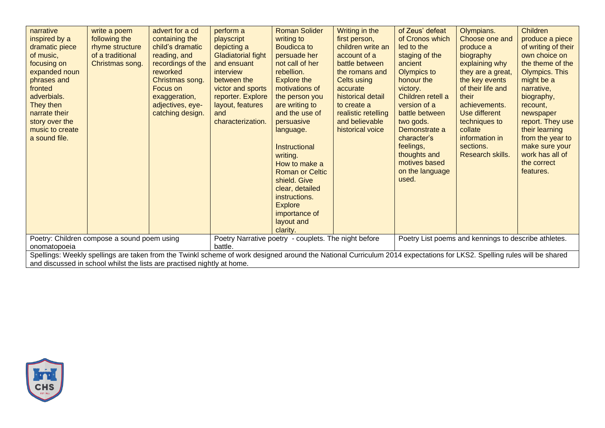| narrative<br>inspired by a<br>dramatic piece<br>of music,<br>focusing on<br>expanded noun<br>phrases and<br>fronted<br>adverbials.<br>They then<br>narrate their<br>story over the<br>music to create<br>a sound file. | write a poem<br>following the<br>rhyme structure<br>of a traditional<br>Christmas song. | advert for a cd<br>containing the<br>child's dramatic<br>reading, and<br>recordings of the<br>reworked<br>Christmas song.<br>Focus on<br>exaggeration,<br>adjectives, eye-<br>catching design.                                                    | perform a<br>playscript<br>depicting a<br><b>Gladiatorial fight</b><br>and ensuant<br>interview<br>between the<br>victor and sports<br>reporter. Explore<br>layout, features<br>and<br>characterization. | <b>Roman Solider</b><br>writing to<br>Boudicca to<br>persuade her<br>not call of her<br>rebellion.<br><b>Explore the</b><br>motivations of<br>the person you<br>are writing to<br>and the use of<br>persuasive<br>language.<br>Instructional<br>writing.<br>How to make a<br><b>Roman or Celtic</b><br>shield. Give<br>clear, detailed<br>instructions.<br><b>Explore</b><br>importance of<br>layout and<br>clarity. | Writing in the<br>first person,<br>children write an<br>account of a<br>battle between<br>the romans and<br><b>Celts using</b><br>accurate<br>historical detail<br>to create a<br>realistic retelling<br>and believable<br>historical voice | of Zeus' defeat<br>of Cronos which<br>led to the<br>staging of the<br>ancient<br>Olympics to<br>honour the<br>victory.<br>Children retell a<br>version of a<br>battle between<br>two gods.<br>Demonstrate a<br>character's<br>feelings,<br>thoughts and<br>motives based<br>on the language<br>used. | Olympians.<br>Choose one and<br>produce a<br>biography<br>explaining why<br>they are a great,<br>the key events<br>of their life and<br>their<br>achievements.<br>Use different<br>techniques to<br>collate<br>information in<br>sections.<br>Research skills. | Children<br>produce a piece<br>of writing of their<br>own choice on<br>the theme of the<br><b>Olympics. This</b><br>might be a<br>narrative,<br>biography,<br>recount,<br>newspaper<br>report. They use<br>their learning<br>from the year to<br>make sure your<br>work has all of<br>the correct<br>features. |
|------------------------------------------------------------------------------------------------------------------------------------------------------------------------------------------------------------------------|-----------------------------------------------------------------------------------------|---------------------------------------------------------------------------------------------------------------------------------------------------------------------------------------------------------------------------------------------------|----------------------------------------------------------------------------------------------------------------------------------------------------------------------------------------------------------|----------------------------------------------------------------------------------------------------------------------------------------------------------------------------------------------------------------------------------------------------------------------------------------------------------------------------------------------------------------------------------------------------------------------|---------------------------------------------------------------------------------------------------------------------------------------------------------------------------------------------------------------------------------------------|------------------------------------------------------------------------------------------------------------------------------------------------------------------------------------------------------------------------------------------------------------------------------------------------------|----------------------------------------------------------------------------------------------------------------------------------------------------------------------------------------------------------------------------------------------------------------|----------------------------------------------------------------------------------------------------------------------------------------------------------------------------------------------------------------------------------------------------------------------------------------------------------------|
| onomatopoeia                                                                                                                                                                                                           | Poetry: Children compose a sound poem using                                             |                                                                                                                                                                                                                                                   | Poetry Narrative poetry - couplets. The night before<br>battle.                                                                                                                                          |                                                                                                                                                                                                                                                                                                                                                                                                                      |                                                                                                                                                                                                                                             | Poetry List poems and kennings to describe athletes.                                                                                                                                                                                                                                                 |                                                                                                                                                                                                                                                                |                                                                                                                                                                                                                                                                                                                |
|                                                                                                                                                                                                                        |                                                                                         | Spellings: Weekly spellings are taken from the Twinkl scheme of work designed around the National Curriculum 2014 expectations for LKS2. Spelling rules will be shared<br>and discussed in school whilst the lists are practised nightly at home. |                                                                                                                                                                                                          |                                                                                                                                                                                                                                                                                                                                                                                                                      |                                                                                                                                                                                                                                             |                                                                                                                                                                                                                                                                                                      |                                                                                                                                                                                                                                                                |                                                                                                                                                                                                                                                                                                                |
|                                                                                                                                                                                                                        |                                                                                         |                                                                                                                                                                                                                                                   |                                                                                                                                                                                                          |                                                                                                                                                                                                                                                                                                                                                                                                                      |                                                                                                                                                                                                                                             |                                                                                                                                                                                                                                                                                                      |                                                                                                                                                                                                                                                                |                                                                                                                                                                                                                                                                                                                |

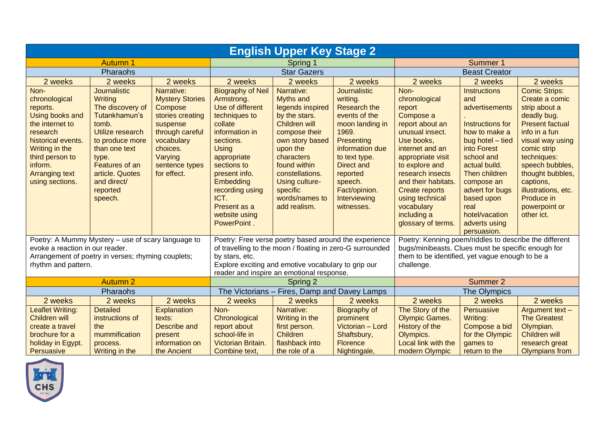| <b>English Upper Key Stage 2</b>                                                                                                                                                                      |                                                                                                                                                                                                                                 |                                                                                                                                                                          |                                                                                                                                                                                                                                                        |                                                                                                                                                                                                                                                              |                                                                                                                                                                                                                                           |                                                                                                                                                                                                                                                                                |                                                                                                                                                                                                                                               |                                                                                                                                                                                                                                                                                             |
|-------------------------------------------------------------------------------------------------------------------------------------------------------------------------------------------------------|---------------------------------------------------------------------------------------------------------------------------------------------------------------------------------------------------------------------------------|--------------------------------------------------------------------------------------------------------------------------------------------------------------------------|--------------------------------------------------------------------------------------------------------------------------------------------------------------------------------------------------------------------------------------------------------|--------------------------------------------------------------------------------------------------------------------------------------------------------------------------------------------------------------------------------------------------------------|-------------------------------------------------------------------------------------------------------------------------------------------------------------------------------------------------------------------------------------------|--------------------------------------------------------------------------------------------------------------------------------------------------------------------------------------------------------------------------------------------------------------------------------|-----------------------------------------------------------------------------------------------------------------------------------------------------------------------------------------------------------------------------------------------|---------------------------------------------------------------------------------------------------------------------------------------------------------------------------------------------------------------------------------------------------------------------------------------------|
|                                                                                                                                                                                                       | <b>Autumn 1</b>                                                                                                                                                                                                                 |                                                                                                                                                                          | Spring 1                                                                                                                                                                                                                                               |                                                                                                                                                                                                                                                              |                                                                                                                                                                                                                                           | Summer 1                                                                                                                                                                                                                                                                       |                                                                                                                                                                                                                                               |                                                                                                                                                                                                                                                                                             |
|                                                                                                                                                                                                       | Pharaohs                                                                                                                                                                                                                        |                                                                                                                                                                          | <b>Star Gazers</b>                                                                                                                                                                                                                                     |                                                                                                                                                                                                                                                              |                                                                                                                                                                                                                                           | <b>Beast Creator</b>                                                                                                                                                                                                                                                           |                                                                                                                                                                                                                                               |                                                                                                                                                                                                                                                                                             |
| 2 weeks                                                                                                                                                                                               | 2 weeks                                                                                                                                                                                                                         | 2 weeks                                                                                                                                                                  | 2 weeks                                                                                                                                                                                                                                                | 2 weeks                                                                                                                                                                                                                                                      | 2 weeks                                                                                                                                                                                                                                   | 2 weeks                                                                                                                                                                                                                                                                        | 2 weeks                                                                                                                                                                                                                                       | 2 weeks                                                                                                                                                                                                                                                                                     |
| Non-<br>chronological<br>reports.<br>Using books and<br>the internet to<br>research<br>historical events.<br>Writing in the<br>third person to<br>inform.<br><b>Arranging text</b><br>using sections. | <b>Journalistic</b><br><b>Writing</b><br>The discovery of<br>Tutankhamun's<br>tomb.<br>Utilize research<br>to produce more<br>than one text<br>type.<br>Features of an<br>article. Quotes<br>and direct/<br>reported<br>speech. | Narrative:<br><b>Mystery Stories</b><br>Compose<br>stories creating<br>suspense<br>through careful<br>vocabulary<br>choices.<br>Varying<br>sentence types<br>for effect. | <b>Biography of Neil</b><br>Armstrong.<br>Use of different<br>techniques to<br>collate<br>information in<br>sections.<br>Using<br>appropriate<br>sections to<br>present info.<br>Embedding<br>recording using<br>ICT.<br>Present as a<br>website using | Narrative:<br><b>Myths and</b><br>legends inspired<br>by the stars.<br>Children will<br>compose their<br>own story based<br>upon the<br>characters<br>found within<br>constellations.<br><b>Using culture-</b><br>specific<br>words/names to<br>add realism. | <b>Journalistic</b><br>writing.<br>Research the<br>events of the<br>moon landing in<br>1969.<br><b>Presenting</b><br>information due<br>to text type.<br>Direct and<br>reported<br>speech.<br>Fact/opinion.<br>Interviewing<br>witnesses. | Non-<br>chronological<br>report<br>Compose a<br>report about an<br>unusual insect.<br>Use books,<br>internet and an<br>appropriate visit<br>to explore and<br>research insects<br>and their habitats.<br><b>Create reports</b><br>using technical<br>vocabulary<br>including a | <b>Instructions</b><br>and<br>advertisements<br>Instructions for<br>how to make a<br>bug hotel - tied<br>into Forest<br>school and<br>actual build.<br>Then children<br>compose an<br>advert for bugs<br>based upon<br>real<br>hotel/vacation | <b>Comic Strips:</b><br>Create a comic<br>strip about a<br>deadly bug.<br><b>Present factual</b><br>info in a fun<br>visual way using<br>comic strip<br>techniques:<br>speech bubbles,<br>thought bubbles,<br>captions,<br>illustrations, etc.<br>Produce in<br>powerpoint or<br>other ict. |
|                                                                                                                                                                                                       |                                                                                                                                                                                                                                 |                                                                                                                                                                          | PowerPoint.                                                                                                                                                                                                                                            |                                                                                                                                                                                                                                                              |                                                                                                                                                                                                                                           | glossary of terms.                                                                                                                                                                                                                                                             | adverts using<br>persuasion.                                                                                                                                                                                                                  |                                                                                                                                                                                                                                                                                             |
| Poetry: A Mummy Mystery – use of scary language to<br>evoke a reaction in our reader.<br>Arrangement of poetry in verses; rhyming couplets;<br>rhythm and pattern.                                    |                                                                                                                                                                                                                                 |                                                                                                                                                                          | by stars, etc.                                                                                                                                                                                                                                         | Poetry: Free verse poetry based around the experience<br>of travelling to the moon / floating in zero-G surrounded<br>Explore exciting and emotive vocabulary to grip our<br>reader and inspire an emotional response.                                       |                                                                                                                                                                                                                                           | Poetry: Kenning poem/riddles to describe the different<br>bugs/minibeasts. Clues must be specific enough for<br>them to be identified, yet vague enough to be a<br>challenge.                                                                                                  |                                                                                                                                                                                                                                               |                                                                                                                                                                                                                                                                                             |
|                                                                                                                                                                                                       | <b>Autumn 2</b>                                                                                                                                                                                                                 |                                                                                                                                                                          |                                                                                                                                                                                                                                                        | Spring 2                                                                                                                                                                                                                                                     |                                                                                                                                                                                                                                           | Summer 2                                                                                                                                                                                                                                                                       |                                                                                                                                                                                                                                               |                                                                                                                                                                                                                                                                                             |
|                                                                                                                                                                                                       | Pharaohs                                                                                                                                                                                                                        |                                                                                                                                                                          | The Victorians – Fires, Damp and Davey Lamps                                                                                                                                                                                                           |                                                                                                                                                                                                                                                              |                                                                                                                                                                                                                                           | The Olympics                                                                                                                                                                                                                                                                   |                                                                                                                                                                                                                                               |                                                                                                                                                                                                                                                                                             |
| 2 weeks                                                                                                                                                                                               | 2 weeks                                                                                                                                                                                                                         | 2 weeks                                                                                                                                                                  | 2 weeks                                                                                                                                                                                                                                                | 2 weeks                                                                                                                                                                                                                                                      | 2 weeks                                                                                                                                                                                                                                   | 2 weeks                                                                                                                                                                                                                                                                        | 2 weeks                                                                                                                                                                                                                                       | 2 weeks                                                                                                                                                                                                                                                                                     |
| <b>Leaflet Writing:</b><br><b>Children will</b><br>create a travel<br>brochure for a                                                                                                                  | <b>Detailed</b><br>instructions of<br>the<br>mummification                                                                                                                                                                      | Explanation<br>texts:<br>Describe and<br>present                                                                                                                         | Non-<br>Chronological<br>report about<br>school-life in                                                                                                                                                                                                | Narrative:<br>Writing in the<br>first person.<br>Children                                                                                                                                                                                                    | Biography of<br>prominent<br>Victorian - Lord<br>Shaftsbury,                                                                                                                                                                              | The Story of the<br><b>Olympic Games.</b><br>History of the<br>Olympics.                                                                                                                                                                                                       | Persuasive<br>Writing:<br>Compose a bid<br>for the Olympic                                                                                                                                                                                    | Argument text-<br><b>The Greatest</b><br>Olympian.<br><b>Children will</b>                                                                                                                                                                                                                  |
| holiday in Egypt.<br><b>Persuasive</b>                                                                                                                                                                | process.<br>Writing in the                                                                                                                                                                                                      | information on<br>the Ancient                                                                                                                                            | Victorian Britain.<br>Combine text,                                                                                                                                                                                                                    | flashback into<br>the role of a                                                                                                                                                                                                                              | <b>Florence</b><br>Nightingale,                                                                                                                                                                                                           | Local link with the<br>modern Olympic                                                                                                                                                                                                                                          | games to<br>return to the                                                                                                                                                                                                                     | research great<br><b>Olympians from</b>                                                                                                                                                                                                                                                     |